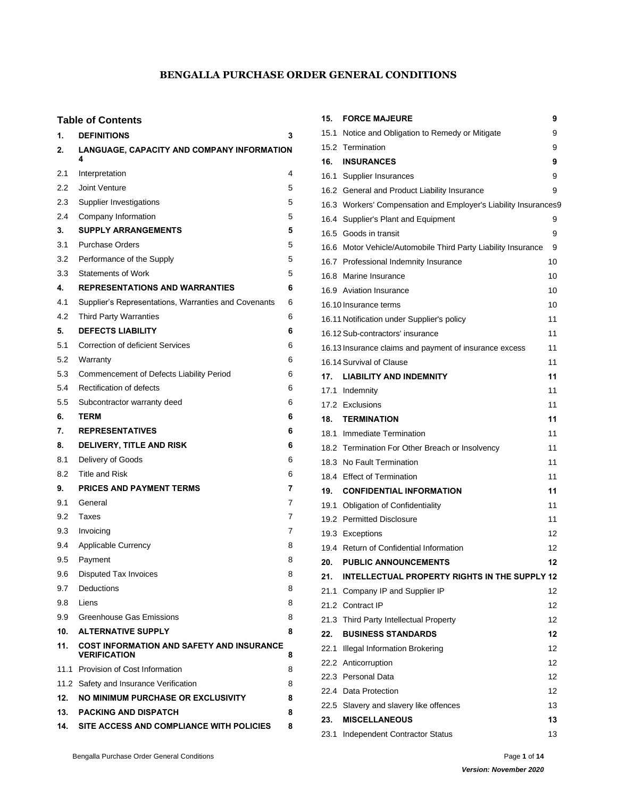# **BENGALLA PURCHASE ORDER GENERAL CONDITIONS**

# **Table of Contents**

| 1.      | <b>DEFINITIONS</b>                                                      | 3 |
|---------|-------------------------------------------------------------------------|---|
| 2.      | LANGUAGE, CAPACITY AND COMPANY INFORMATION<br>4                         |   |
| 2.1     | Interpretation                                                          | 4 |
| 2.2     | Joint Venture                                                           | 5 |
| 2.3     | Supplier Investigations                                                 | 5 |
| 2.4     | Company Information                                                     | 5 |
| 3.      | <b>SUPPLY ARRANGEMENTS</b>                                              | 5 |
| 3.1     | <b>Purchase Orders</b>                                                  | 5 |
| 3.2     | Performance of the Supply                                               | 5 |
| 3.3     | <b>Statements of Work</b>                                               | 5 |
| 4.      | <b>REPRESENTATIONS AND WARRANTIES</b>                                   | 6 |
| 4.1     | Supplier's Representations, Warranties and Covenants                    | 6 |
| 4.2     | <b>Third Party Warranties</b>                                           | 6 |
| 5.      | <b>DEFECTS LIABILITY</b>                                                | 6 |
| 5.1     | <b>Correction of deficient Services</b>                                 | 6 |
| 5.2     | Warranty                                                                | 6 |
| 5.3     | Commencement of Defects Liability Period                                | 6 |
| 5.4     | Rectification of defects                                                | 6 |
| $5.5\,$ | Subcontractor warranty deed                                             | 6 |
| 6.      | <b>TERM</b>                                                             | 6 |
| 7.      | <b>REPRESENTATIVES</b>                                                  | 6 |
| 8.      | <b>DELIVERY, TITLE AND RISK</b>                                         | 6 |
| 8.1     | Delivery of Goods                                                       | 6 |
| 8.2     | <b>Title and Risk</b>                                                   | 6 |
| 9.      | <b>PRICES AND PAYMENT TERMS</b>                                         | 7 |
| 9.1     | General                                                                 | 7 |
| 9.2     | Taxes                                                                   | 7 |
| 9.3     | Invoicing                                                               | 7 |
| 9.4     | Applicable Currency                                                     | 8 |
| 9.5     | Payment                                                                 | 8 |
| 9.6     | Disputed Tax Invoices                                                   | 8 |
| 9.7     | Deductions                                                              | 8 |
| 9.8     | <b>Liens</b>                                                            | 8 |
| 9.9     | Greenhouse Gas Emissions                                                | 8 |
| 10.     | <b>ALTERNATIVE SUPPLY</b>                                               | 8 |
| 11.     | <b>COST INFORMATION AND SAFETY AND INSURANCE</b><br><b>VERIFICATION</b> | 8 |
|         | 11.1 Provision of Cost Information                                      | 8 |
|         | 11.2 Safety and Insurance Verification                                  | 8 |
| 12.     | NO MINIMUM PURCHASE OR EXCLUSIVITY                                      | 8 |
| 13.     | <b>PACKING AND DISPATCH</b>                                             | 8 |
| 14.     | SITE ACCESS AND COMPLIANCE WITH POLICIES                                | 8 |

| 15.  | <b>FORCE MAJEURE</b>                                            | 9  |
|------|-----------------------------------------------------------------|----|
|      | 15.1 Notice and Obligation to Remedy or Mitigate                | 9  |
|      | 15.2 Termination                                                | 9  |
| 16.  | <b>INSURANCES</b>                                               | 9  |
|      | 16.1 Supplier Insurances                                        | 9  |
|      | 16.2 General and Product Liability Insurance                    | 9  |
|      | 16.3 Workers' Compensation and Employer's Liability Insurances9 |    |
|      | 16.4 Supplier's Plant and Equipment                             | 9  |
|      | 16.5 Goods in transit                                           | 9  |
|      | 16.6 Motor Vehicle/Automobile Third Party Liability Insurance   | 9  |
|      | 16.7 Professional Indemnity Insurance                           | 10 |
|      | 16.8 Marine Insurance                                           | 10 |
|      | 16.9 Aviation Insurance                                         | 10 |
|      | 16.10 Insurance terms                                           | 10 |
|      | 16.11 Notification under Supplier's policy                      | 11 |
|      | 16.12 Sub-contractors' insurance                                | 11 |
|      | 16.13 Insurance claims and payment of insurance excess          | 11 |
|      | 16.14 Survival of Clause                                        | 11 |
|      | 17. LIABILITY AND INDEMNITY                                     | 11 |
|      | 17.1 Indemnity                                                  | 11 |
|      | 17.2 Exclusions                                                 | 11 |
|      | <b>18. TERMINATION</b>                                          | 11 |
|      | 18.1 Immediate Termination                                      | 11 |
|      | 18.2 Termination For Other Breach or Insolvency                 | 11 |
|      | 18.3 No Fault Termination                                       | 11 |
|      | 18.4 Effect of Termination                                      | 11 |
|      | <b>19. CONFIDENTIAL INFORMATION</b>                             | 11 |
|      | 19.1 Obligation of Confidentiality                              | 11 |
|      | 19.2 Permitted Disclosure                                       | 11 |
|      | 19.3 Exceptions                                                 | 12 |
|      | 19.4 Return of Confidential Information                         | 12 |
| 20.  | <b>PUBLIC ANNOUNCEMENTS</b>                                     | 12 |
| 21.  | INTELLECTUAL PROPERTY RIGHTS IN THE SUPPLY 12                   |    |
| 21.1 | Company IP and Supplier IP                                      | 12 |
|      | 21.2 Contract IP                                                | 12 |
|      | 21.3 Third Party Intellectual Property                          | 12 |
| 22.  | <b>BUSINESS STANDARDS</b>                                       | 12 |
|      | 22.1 Illegal Information Brokering                              | 12 |
|      | 22.2 Anticorruption                                             | 12 |
|      | 22.3 Personal Data                                              | 12 |
|      | 22.4 Data Protection                                            | 12 |
|      | 22.5 Slavery and slavery like offences                          | 13 |
| 23.  | <b>MISCELLANEOUS</b>                                            | 13 |
| 23.1 | Independent Contractor Status                                   | 13 |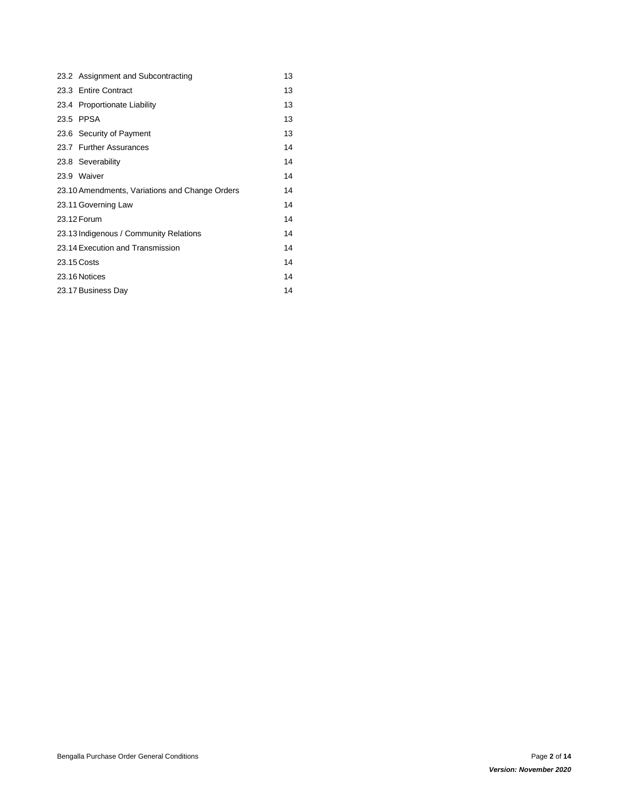| 23.2 Assignment and Subcontracting             | 13 |
|------------------------------------------------|----|
| 23.3 Entire Contract                           | 13 |
| 23.4 Proportionate Liability                   | 13 |
| 23.5 PPSA                                      | 13 |
| 23.6 Security of Payment                       | 13 |
| 23.7 Further Assurances                        | 14 |
| 23.8 Severability                              | 14 |
| 23.9 Waiver                                    | 14 |
| 23.10 Amendments, Variations and Change Orders | 14 |
| 23.11 Governing Law                            | 14 |
| 23.12 Forum                                    | 14 |
| 23.13 Indigenous / Community Relations         | 14 |
| 23.14 Execution and Transmission               | 14 |
| 23.15 Costs                                    | 14 |
| 23.16 Notices                                  | 14 |
| 23.17 Business Day                             | 14 |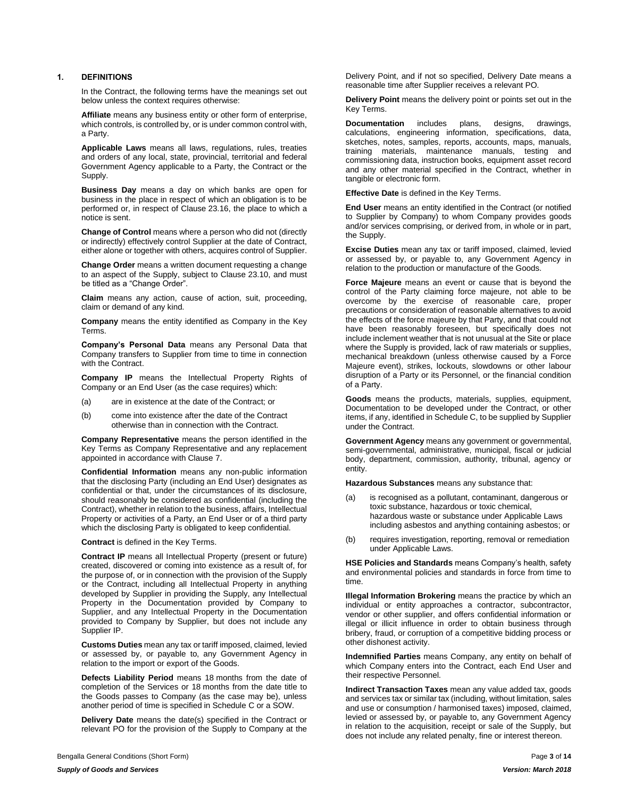#### <span id="page-2-0"></span>**1. DEFINITIONS**

In the Contract, the following terms have the meanings set out below unless the context requires otherwise:

**Affiliate** means any business entity or other form of enterprise, which controls, is controlled by, or is under common control with, a Party.

**Applicable Laws** means all laws, regulations, rules, treaties and orders of any local, state, provincial, territorial and federal Government Agency applicable to a Party, the Contract or the Supply.

**Business Day** means a day on which banks are open for business in the place in respect of which an obligation is to be performed or, in respect of Clause [23.16,](#page-13-9) the place to which a notice is sent.

**Change of Control** means where a person who did not (directly or indirectly) effectively control Supplier at the date of Contract, either alone or together with others, acquires control of Supplier.

**Change Order** means a written document requesting a change to an aspect of the Supply, subject to Clause [23.10,](#page-13-3) and must be titled as a "Change Order".

**Claim** means any action, cause of action, suit, proceeding, claim or demand of any kind.

**Company** means the entity identified as Company in the Key Terms.

**Company's Personal Data** means any Personal Data that Company transfers to Supplier from time to time in connection with the Contract.

**Company IP** means the Intellectual Property Rights of Company or an End User (as the case requires) which:

- (a) are in existence at the date of the Contract; or
- (b) come into existence after the date of the Contract otherwise than in connection with the Contract.

**Company Representative** means the person identified in the Key Terms as Company Representative and any replacement appointed in accordance with Clause [7.](#page-5-10)

**Confidential Information** means any non-public information that the disclosing Party (including an End User) designates as confidential or that, under the circumstances of its disclosure, should reasonably be considered as confidential (including the Contract), whether in relation to the business, affairs, Intellectual Property or activities of a Party, an End User or of a third party which the disclosing Party is obligated to keep confidential.

**Contract** is defined in the Key Terms.

**Contract IP** means all Intellectual Property (present or future) created, discovered or coming into existence as a result of, for the purpose of, or in connection with the provision of the Supply or the Contract, including all Intellectual Property in anything developed by Supplier in providing the Supply, any Intellectual Property in the Documentation provided by Company to Supplier, and any Intellectual Property in the Documentation provided to Company by Supplier, but does not include any Supplier IP.

**Customs Duties** mean any tax or tariff imposed, claimed, levied or assessed by, or payable to, any Government Agency in relation to the import or export of the Goods.

**Defects Liability Period** means 18 months from the date of completion of the Services or 18 months from the date title to the Goods passes to Company (as the case may be), unless another period of time is specified in Schedule C or a SOW.

**Delivery Date** means the date(s) specified in the Contract or relevant PO for the provision of the Supply to Company at the Delivery Point, and if not so specified, Delivery Date means a reasonable time after Supplier receives a relevant PO.

**Delivery Point** means the delivery point or points set out in the Key Terms.

**Documentation** includes plans, designs, drawings, calculations, engineering information, specifications, data, sketches, notes, samples, reports, accounts, maps, manuals, training materials, maintenance manuals, testing and commissioning data, instruction books, equipment asset record and any other material specified in the Contract, whether in tangible or electronic form.

**Effective Date** is defined in the Key Terms.

**End User** means an entity identified in the Contract (or notified to Supplier by Company) to whom Company provides goods and/or services comprising, or derived from, in whole or in part, the Supply.

**Excise Duties** mean any tax or tariff imposed, claimed, levied or assessed by, or payable to, any Government Agency in relation to the production or manufacture of the Goods.

**Force Majeure** means an event or cause that is beyond the control of the Party claiming force majeure, not able to be overcome by the exercise of reasonable care, proper precautions or consideration of reasonable alternatives to avoid the effects of the force majeure by that Party, and that could not have been reasonably foreseen, but specifically does not include inclement weather that is not unusual at the Site or place where the Supply is provided, lack of raw materials or supplies, mechanical breakdown (unless otherwise caused by a Force Majeure event), strikes, lockouts, slowdowns or other labour disruption of a Party or its Personnel, or the financial condition of a Party.

**Goods** means the products, materials, supplies, equipment, Documentation to be developed under the Contract, or other items, if any, identified in Schedule C, to be supplied by Supplier under the Contract.

**Government Agency** means any government or governmental, semi-governmental, administrative, municipal, fiscal or judicial body, department, commission, authority, tribunal, agency or entity.

**Hazardous Substances** means any substance that:

- (a) is recognised as a pollutant, contaminant, dangerous or toxic substance, hazardous or toxic chemical, hazardous waste or substance under Applicable Laws including asbestos and anything containing asbestos; or
- (b) requires investigation, reporting, removal or remediation under Applicable Laws.

**HSE Policies and Standards** means Company's health, safety and environmental policies and standards in force from time to time.

**Illegal Information Brokering** means the practice by which an individual or entity approaches a contractor, subcontractor, vendor or other supplier, and offers confidential information or illegal or illicit influence in order to obtain business through bribery, fraud, or corruption of a competitive bidding process or other dishonest activity.

**Indemnified Parties** means Company, any entity on behalf of which Company enters into the Contract, each End User and their respective Personnel.

**Indirect Transaction Taxes** mean any value added tax, goods and services tax or similar tax (including, without limitation, sales and use or consumption / harmonised taxes) imposed, claimed, levied or assessed by, or payable to, any Government Agency in relation to the acquisition, receipt or sale of the Supply, but does not include any related penalty, fine or interest thereon.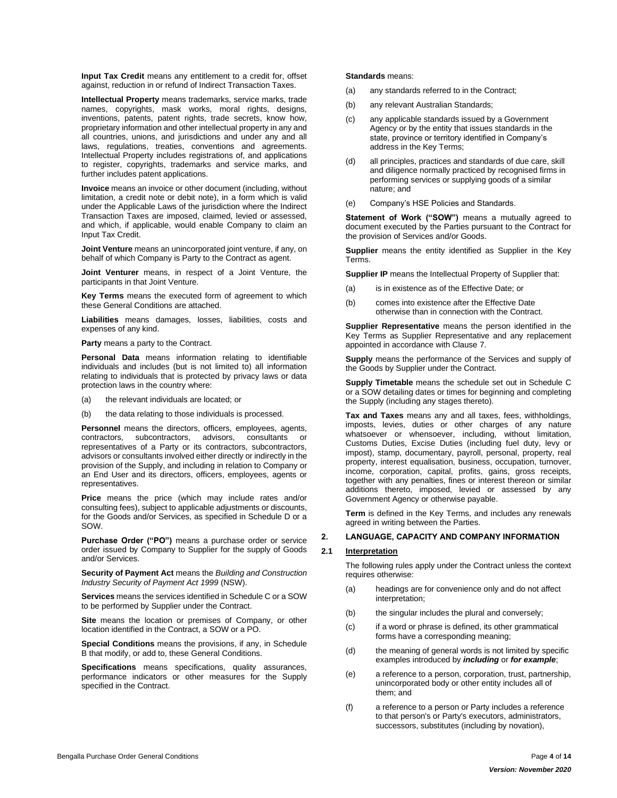**Input Tax Credit** means any entitlement to a credit for, offset against, reduction in or refund of Indirect Transaction Taxes.

**Intellectual Property** means trademarks, service marks, trade names, copyrights, mask works, moral rights, designs, inventions, patents, patent rights, trade secrets, know how, proprietary information and other intellectual property in any and all countries, unions, and jurisdictions and under any and all laws, regulations, treaties, conventions and agreements. Intellectual Property includes registrations of, and applications to register, copyrights, trademarks and service marks, and further includes patent applications.

**Invoice** means an invoice or other document (including, without limitation, a credit note or debit note), in a form which is valid under the Applicable Laws of the jurisdiction where the Indirect Transaction Taxes are imposed, claimed, levied or assessed, and which, if applicable, would enable Company to claim an Input Tax Credit.

**Joint Venture** means an unincorporated joint venture, if any, on behalf of which Company is Party to the Contract as agent.

**Joint Venturer** means, in respect of a Joint Venture, the participants in that Joint Venture.

**Key Terms** means the executed form of agreement to which these General Conditions are attached.

**Liabilities** means damages, losses, liabilities, costs and expenses of any kind.

**Party** means a party to the Contract.

**Personal Data** means information relating to identifiable individuals and includes (but is not limited to) all information relating to individuals that is protected by privacy laws or data protection laws in the country where:

- (a) the relevant individuals are located; or
- (b) the data relating to those individuals is processed.

**Personnel** means the directors, officers, employees, agents, contractors, subcontractors, advisors, consultants or representatives of a Party or its contractors, subcontractors, advisors or consultants involved either directly or indirectly in the provision of the Supply, and including in relation to Company or an End User and its directors, officers, employees, agents or representatives.

**Price** means the price (which may include rates and/or consulting fees), subject to applicable adjustments or discounts, for the Goods and/or Services, as specified in Schedule D or a SOW.

**Purchase Order ("PO")** means a purchase order or service order issued by Company to Supplier for the supply of Goods and/or Services.

**Security of Payment Act** means the *Building and Construction Industry Security of Payment Act 1999* (NSW).

**Services** means the services identified in Schedule C or a SOW to be performed by Supplier under the Contract.

**Site** means the location or premises of Company, or other location identified in the Contract, a SOW or a PO.

**Special Conditions** means the provisions, if any, in Schedule B that modify, or add to, these General Conditions.

**Specifications** means specifications, quality assurances, performance indicators or other measures for the Supply specified in the Contract.

**Standards** means:

- (a) any standards referred to in the Contract;
- (b) any relevant Australian Standards;
- (c) any applicable standards issued by a Government Agency or by the entity that issues standards in the state, province or territory identified in Company's address in the Key Terms;
- (d) all principles, practices and standards of due care, skill and diligence normally practiced by recognised firms in performing services or supplying goods of a similar nature; and
- (e) Company's HSE Policies and Standards.

**Statement of Work ("SOW")** means a mutually agreed to document executed by the Parties pursuant to the Contract for the provision of Services and/or Goods.

**Supplier** means the entity identified as Supplier in the Key Terms.

**Supplier IP** means the Intellectual Property of Supplier that:

- (a) is in existence as of the Effective Date; or
- (b) comes into existence after the Effective Date otherwise than in connection with the Contract.

**Supplier Representative** means the person identified in the Key Terms as Supplier Representative and any replacement appointed in accordance with Clause [7.](#page-5-10)

**Supply** means the performance of the Services and supply of the Goods by Supplier under the Contract.

**Supply Timetable** means the schedule set out in Schedule C or a SOW detailing dates or times for beginning and completing the Supply (including any stages thereto).

**Tax and Taxes** means any and all taxes, fees, withholdings, imposts, levies, duties or other charges of any nature whatsoever or whensoever, including, without limitation, Customs Duties, Excise Duties (including fuel duty, levy or impost), stamp, documentary, payroll, personal, property, real property, interest equalisation, business, occupation, turnover, income, corporation, capital, profits, gains, gross receipts, together with any penalties, fines or interest thereon or similar additions thereto, imposed, levied or assessed by any Government Agency or otherwise payable.

**Term** is defined in the Key Terms, and includes any renewals agreed in writing between the Parties.

#### <span id="page-3-0"></span>**2. LANGUAGE, CAPACITY AND COMPANY INFORMATION**

#### <span id="page-3-1"></span>**2.1 Interpretation**

The following rules apply under the Contract unless the context requires otherwise:

- (a) headings are for convenience only and do not affect interpretation;
- (b) the singular includes the plural and conversely;
- (c) if a word or phrase is defined, its other grammatical forms have a corresponding meaning;
- <span id="page-3-2"></span>(d) the meaning of general words is not limited by specific examples introduced by *including* or *for example*;
- (e) a reference to a person, corporation, trust, partnership, unincorporated body or other entity includes all of them; and
- (f) a reference to a person or Party includes a reference to that person's or Party's executors, administrators, successors, substitutes (including by novation),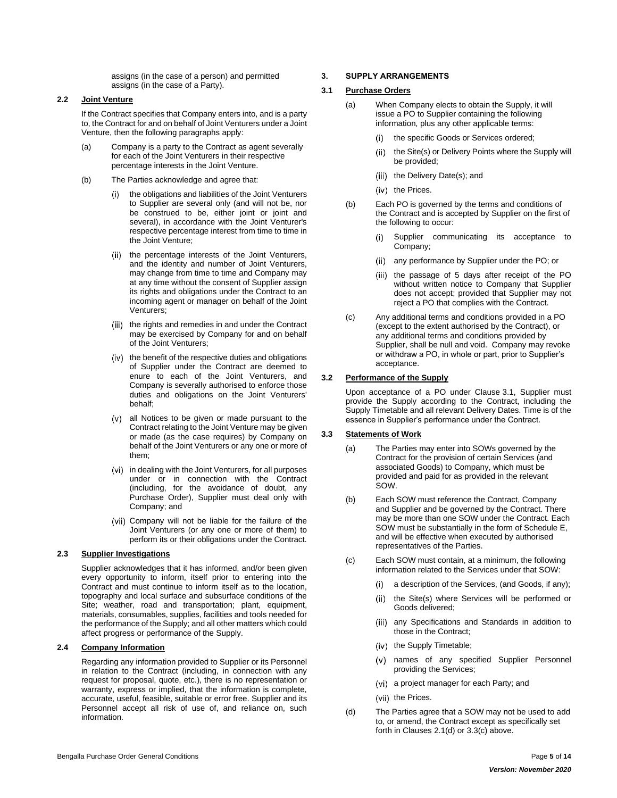assigns (in the case of a person) and permitted assigns (in the case of a Party).

# <span id="page-4-0"></span>**2.2 Joint Venture**

If the Contract specifies that Company enters into, and is a party to, the Contract for and on behalf of Joint Venturers under a Joint Venture, then the following paragraphs apply:

- (a) Company is a party to the Contract as agent severally for each of the Joint Venturers in their respective percentage interests in the Joint Venture.
- (b) The Parties acknowledge and agree that:
	- the obligations and liabilities of the Joint Venturers  $(i)$ to Supplier are several only (and will not be, nor be construed to be, either joint or joint and several), in accordance with the Joint Venturer's respective percentage interest from time to time in the Joint Venture;
	- (ii) the percentage interests of the Joint Venturers, and the identity and number of Joint Venturers, may change from time to time and Company may at any time without the consent of Supplier assign its rights and obligations under the Contract to an incoming agent or manager on behalf of the Joint Venturers;
	- (iii) the rights and remedies in and under the Contract may be exercised by Company for and on behalf of the Joint Venturers;
	- $(iv)$  the benefit of the respective duties and obligations of Supplier under the Contract are deemed to enure to each of the Joint Venturers, and Company is severally authorised to enforce those duties and obligations on the Joint Venturers' behalf;
	- all Notices to be given or made pursuant to the Contract relating to the Joint Venture may be given or made (as the case requires) by Company on behalf of the Joint Venturers or any one or more of them;
	- (vi) in dealing with the Joint Venturers, for all purposes under or in connection with the Contract (including, for the avoidance of doubt, any Purchase Order), Supplier must deal only with Company; and
	- (vii) Company will not be liable for the failure of the Joint Venturers (or any one or more of them) to perform its or their obligations under the Contract.

## <span id="page-4-1"></span>**2.3 Supplier Investigations**

Supplier acknowledges that it has informed, and/or been given every opportunity to inform, itself prior to entering into the Contract and must continue to inform itself as to the location, topography and local surface and subsurface conditions of the Site; weather, road and transportation; plant, equipment, materials, consumables, supplies, facilities and tools needed for the performance of the Supply; and all other matters which could affect progress or performance of the Supply.

# <span id="page-4-2"></span>**2.4 Company Information**

Regarding any information provided to Supplier or its Personnel in relation to the Contract (including, in connection with any request for proposal, quote, etc.), there is no representation or warranty, express or implied, that the information is complete, accurate, useful, feasible, suitable or error free. Supplier and its Personnel accept all risk of use of, and reliance on, such information.

## <span id="page-4-3"></span>**3. SUPPLY ARRANGEMENTS**

#### <span id="page-4-4"></span>**3.1 Purchase Orders**

- (a) When Company elects to obtain the Supply, it will issue a PO to Supplier containing the following information, plus any other applicable terms:
	- the specific Goods or Services ordered;
	- (ii) the Site(s) or Delivery Points where the Supply will be provided;
	- (iii) the Delivery Date(s); and
	- (iv) the Prices.
- (b) Each PO is governed by the terms and conditions of the Contract and is accepted by Supplier on the first of the following to occur:
	- Supplier communicating its acceptance to  $(i)$ Company;
	- (ii) any performance by Supplier under the PO; or
	- (iii) the passage of 5 days after receipt of the PO without written notice to Company that Supplier does not accept; provided that Supplier may not reject a PO that complies with the Contract.
- (c) Any additional terms and conditions provided in a PO (except to the extent authorised by the Contract), or any additional terms and conditions provided by Supplier, shall be null and void. Company may revoke or withdraw a PO, in whole or part, prior to Supplier's acceptance.

#### <span id="page-4-5"></span>**3.2 Performance of the Supply**

Upon acceptance of a PO under Clause [3.1,](#page-4-4) Supplier must provide the Supply according to the Contract, including the Supply Timetable and all relevant Delivery Dates. Time is of the essence in Supplier's performance under the Contract.

#### <span id="page-4-6"></span>**3.3 Statements of Work**

- (a) The Parties may enter into SOWs governed by the Contract for the provision of certain Services (and associated Goods) to Company, which must be provided and paid for as provided in the relevant SOW.
- (b) Each SOW must reference the Contract, Company and Supplier and be governed by the Contract. There may be more than one SOW under the Contract. Each SOW must be substantially in the form of Schedule E, and will be effective when executed by authorised representatives of the Parties.
- <span id="page-4-7"></span>(c) Each SOW must contain, at a minimum, the following information related to the Services under that SOW:
	- a description of the Services, (and Goods, if any);
	- (ii) the Site(s) where Services will be performed or Goods delivered;
	- (iii) any Specifications and Standards in addition to those in the Contract;
	- (iv) the Supply Timetable;
	- names of any specified Supplier Personnel  $(v)$ providing the Services;
	- (vi) a project manager for each Party; and
	- (vii) the Prices.
- (d) The Parties agree that a SOW may not be used to add to, or amend, the Contract except as specifically set forth in Clauses [2.1\(d\)](#page-3-2) o[r 3.3\(c\)](#page-4-7) above.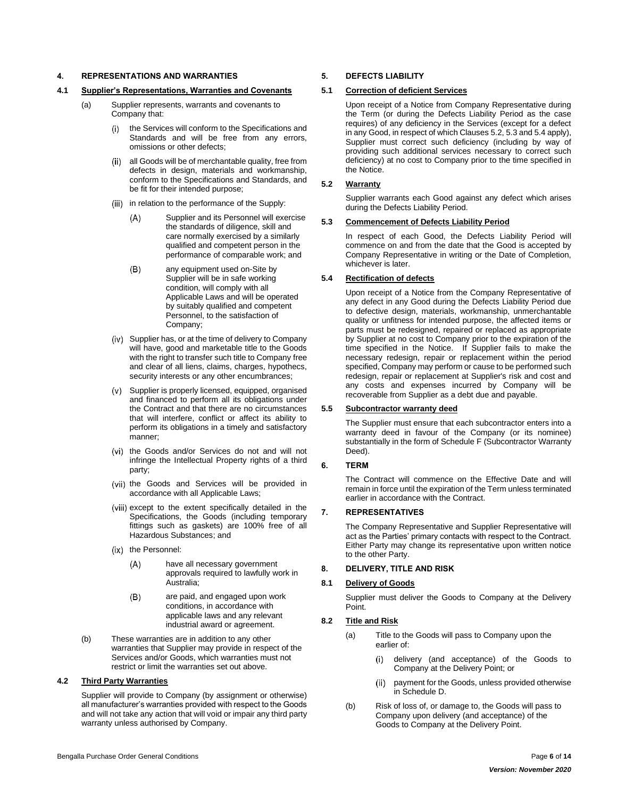#### <span id="page-5-0"></span>**4. REPRESENTATIONS AND WARRANTIES**

#### <span id="page-5-1"></span>**4.1 Supplier's Representations, Warranties and Covenants**

- (a) Supplier represents, warrants and covenants to Company that:
	- the Services will conform to the Specifications and  $(i)$ Standards and will be free from any errors, omissions or other defects;
	- all Goods will be of merchantable quality, free from  $(ii)$ defects in design, materials and workmanship, conform to the Specifications and Standards, and be fit for their intended purpose;
	- (iii) in relation to the performance of the Supply:
		- $(A)$ Supplier and its Personnel will exercise the standards of diligence, skill and care normally exercised by a similarly qualified and competent person in the performance of comparable work; and
		- $(B)$ any equipment used on-Site by Supplier will be in safe working condition, will comply with all Applicable Laws and will be operated by suitably qualified and competent Personnel, to the satisfaction of Company;
	- (iv) Supplier has, or at the time of delivery to Company will have, good and marketable title to the Goods with the right to transfer such title to Company free and clear of all liens, claims, charges, hypothecs, security interests or any other encumbrances;
	- (v) Supplier is properly licensed, equipped, organised and financed to perform all its obligations under the Contract and that there are no circumstances that will interfere, conflict or affect its ability to perform its obligations in a timely and satisfactory manner;
	- (vi) the Goods and/or Services do not and will not infringe the Intellectual Property rights of a third party;
	- (vii) the Goods and Services will be provided in accordance with all Applicable Laws;
	- (viii) except to the extent specifically detailed in the Specifications, the Goods (including temporary fittings such as gaskets) are 100% free of all Hazardous Substances; and
	- (ix) the Personnel:
		- $(A)$ have all necessary government approvals required to lawfully work in Australia;
		- $(B)$ are paid, and engaged upon work conditions, in accordance with applicable laws and any relevant industrial award or agreement.
- (b) These warranties are in addition to any other warranties that Supplier may provide in respect of the Services and/or Goods, which warranties must not restrict or limit the warranties set out above.

# <span id="page-5-2"></span>**4.2 Third Party Warranties**

Supplier will provide to Company (by assignment or otherwise) all manufacturer's warranties provided with respect to the Goods and will not take any action that will void or impair any third party warranty unless authorised by Company.

#### <span id="page-5-3"></span>**5. DEFECTS LIABILITY**

#### <span id="page-5-4"></span>**5.1 Correction of deficient Services**

Upon receipt of a Notice from Company Representative during the Term (or during the Defects Liability Period as the case requires) of any deficiency in the Services (except for a defect in any Good, in respect of which Clause[s 5.2,](#page-5-5) [5.3](#page-5-6) an[d 5.4](#page-5-7) apply), Supplier must correct such deficiency (including by way of providing such additional services necessary to correct such deficiency) at no cost to Company prior to the time specified in the Notice.

#### <span id="page-5-5"></span>**5.2 Warranty**

Supplier warrants each Good against any defect which arises during the Defects Liability Period.

#### <span id="page-5-6"></span>**5.3 Commencement of Defects Liability Period**

In respect of each Good, the Defects Liability Period will commence on and from the date that the Good is accepted by Company Representative in writing or the Date of Completion, whichever is later.

#### <span id="page-5-7"></span>**5.4 Rectification of defects**

Upon receipt of a Notice from the Company Representative of any defect in any Good during the Defects Liability Period due to defective design, materials, workmanship, unmerchantable quality or unfitness for intended purpose, the affected items or parts must be redesigned, repaired or replaced as appropriate by Supplier at no cost to Company prior to the expiration of the time specified in the Notice. If Supplier fails to make the necessary redesign, repair or replacement within the period specified, Company may perform or cause to be performed such redesign, repair or replacement at Supplier's risk and cost and any costs and expenses incurred by Company will be recoverable from Supplier as a debt due and payable.

#### <span id="page-5-8"></span>**5.5 Subcontractor warranty deed**

The Supplier must ensure that each subcontractor enters into a warranty deed in favour of the Company (or its nominee) substantially in the form of Schedule F (Subcontractor Warranty Deed).

## <span id="page-5-9"></span>**6. TERM**

The Contract will commence on the Effective Date and will remain in force until the expiration of the Term unless terminated earlier in accordance with the Contract.

### <span id="page-5-10"></span>**7. REPRESENTATIVES**

The Company Representative and Supplier Representative will act as the Parties' primary contacts with respect to the Contract. Either Party may change its representative upon written notice to the other Party.

#### <span id="page-5-11"></span>**8. DELIVERY, TITLE AND RISK**

#### <span id="page-5-12"></span>**8.1 Delivery of Goods**

Supplier must deliver the Goods to Company at the Delivery Point.

# <span id="page-5-13"></span>**8.2 Title and Risk**

- (a) Title to the Goods will pass to Company upon the earlier of:
	- delivery (and acceptance) of the Goods to  $(i)$ Company at the Delivery Point; or
	- payment for the Goods, unless provided otherwise  $(ii)$ in Schedule D.
- (b) Risk of loss of, or damage to, the Goods will pass to Company upon delivery (and acceptance) of the Goods to Company at the Delivery Point.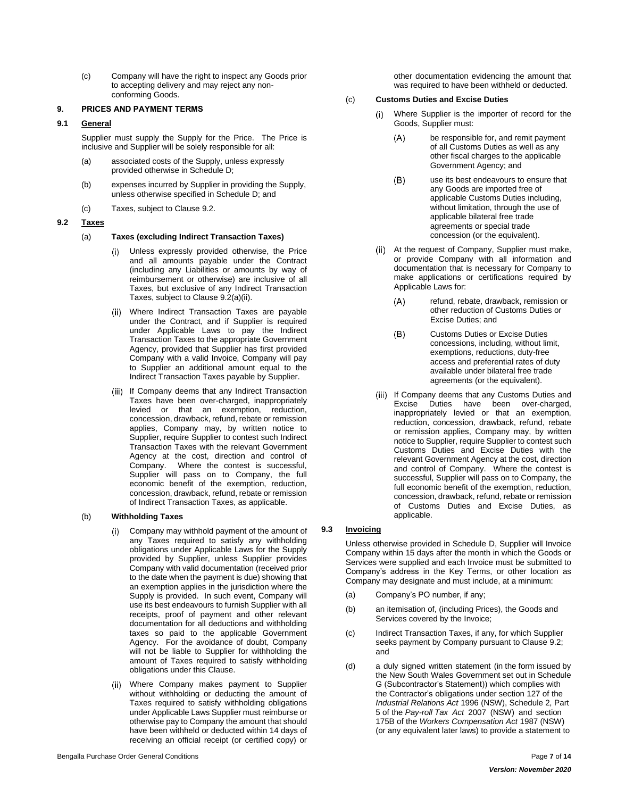(c) Company will have the right to inspect any Goods prior to accepting delivery and may reject any nonconforming Goods.

## <span id="page-6-0"></span>**9. PRICES AND PAYMENT TERMS**

#### <span id="page-6-1"></span>**9.1 General**

Supplier must supply the Supply for the Price. The Price is inclusive and Supplier will be solely responsible for all:

- (a) associated costs of the Supply, unless expressly provided otherwise in Schedule D;
- (b) expenses incurred by Supplier in providing the Supply, unless otherwise specified in Schedule D; and
- (c) Taxes, subject to Clause [9.2.](#page-6-2)

#### <span id="page-6-2"></span>**9.2 Taxes**

#### (a) **Taxes (excluding Indirect Transaction Taxes)**

- Unless expressly provided otherwise, the Price  $(i)$ and all amounts payable under the Contract (including any Liabilities or amounts by way of reimbursement or otherwise) are inclusive of all Taxes, but exclusive of any Indirect Transaction Taxes, subject to Clause [9.2\(a\)\(ii\).](#page-6-4)
- <span id="page-6-4"></span>Where Indirect Transaction Taxes are payable under the Contract, and if Supplier is required under Applicable Laws to pay the Indirect Transaction Taxes to the appropriate Government Agency, provided that Supplier has first provided Company with a valid Invoice, Company will pay to Supplier an additional amount equal to the Indirect Transaction Taxes payable by Supplier.
- (iii) If Company deems that any Indirect Transaction Taxes have been over-charged, inappropriately levied or that an exemption, reduction, concession, drawback, refund, rebate or remission applies, Company may, by written notice to Supplier, require Supplier to contest such Indirect Transaction Taxes with the relevant Government Agency at the cost, direction and control of Company. Where the contest is successful, Supplier will pass on to Company, the full economic benefit of the exemption, reduction, concession, drawback, refund, rebate or remission of Indirect Transaction Taxes, as applicable.

#### (b) **Withholding Taxes**

- Company may withhold payment of the amount of any Taxes required to satisfy any withholding obligations under Applicable Laws for the Supply provided by Supplier, unless Supplier provides Company with valid documentation (received prior to the date when the payment is due) showing that an exemption applies in the jurisdiction where the Supply is provided. In such event, Company will use its best endeavours to furnish Supplier with all receipts, proof of payment and other relevant documentation for all deductions and withholding taxes so paid to the applicable Government Agency. For the avoidance of doubt, Company will not be liable to Supplier for withholding the amount of Taxes required to satisfy withholding obligations under this Clause.
- Where Company makes payment to Supplier without withholding or deducting the amount of Taxes required to satisfy withholding obligations under Applicable Laws Supplier must reimburse or otherwise pay to Company the amount that should have been withheld or deducted within 14 days of receiving an official receipt (or certified copy) or

other documentation evidencing the amount that was required to have been withheld or deducted.

#### (c) **Customs Duties and Excise Duties**

- $(i)$ Where Supplier is the importer of record for the Goods, Supplier must:
	- $(A)$ be responsible for, and remit payment of all Customs Duties as well as any other fiscal charges to the applicable Government Agency; and
	- $(B)$ use its best endeavours to ensure that any Goods are imported free of applicable Customs Duties including, without limitation, through the use of applicable bilateral free trade agreements or special trade concession (or the equivalent).
- (ii) At the request of Company, Supplier must make, or provide Company with all information and documentation that is necessary for Company to make applications or certifications required by Applicable Laws for:
	- $(A)$ refund, rebate, drawback, remission or other reduction of Customs Duties or Excise Duties; and
	- $(B)$ Customs Duties or Excise Duties concessions, including, without limit, exemptions, reductions, duty-free access and preferential rates of duty available under bilateral free trade agreements (or the equivalent).
- (iii) If Company deems that any Customs Duties and Excise Duties have been over-charged, inappropriately levied or that an exemption, reduction, concession, drawback, refund, rebate or remission applies, Company may, by written notice to Supplier, require Supplier to contest such Customs Duties and Excise Duties with the relevant Government Agency at the cost, direction and control of Company. Where the contest is successful, Supplier will pass on to Company, the full economic benefit of the exemption, reduction, concession, drawback, refund, rebate or remission of Customs Duties and Excise Duties, as applicable.

# <span id="page-6-3"></span>**9.3 Invoicing**

Unless otherwise provided in Schedule D, Supplier will Invoice Company within 15 days after the month in which the Goods or Services were supplied and each Invoice must be submitted to Company's address in the Key Terms, or other location as Company may designate and must include, at a minimum:

- (a) Company's PO number, if any;
- (b) an itemisation of, (including Prices), the Goods and Services covered by the Invoice;
- (c) Indirect Transaction Taxes, if any, for which Supplier seeks payment by Company pursuant to Clause [9.2;](#page-6-2) and
- (d) a duly signed written statement (in the form issued by the New South Wales Government set out in Schedule G (Subcontractor's Statement)) which complies with the Contractor's obligations under section 127 of the *Industrial Relations Act* 1996 (NSW), Schedule 2, Part 5 of the *Pay-roll Tax Act* 2007 (NSW) and section 175B of the *Workers Compensation Act* 1987 (NSW) (or any equivalent later laws) to provide a statement to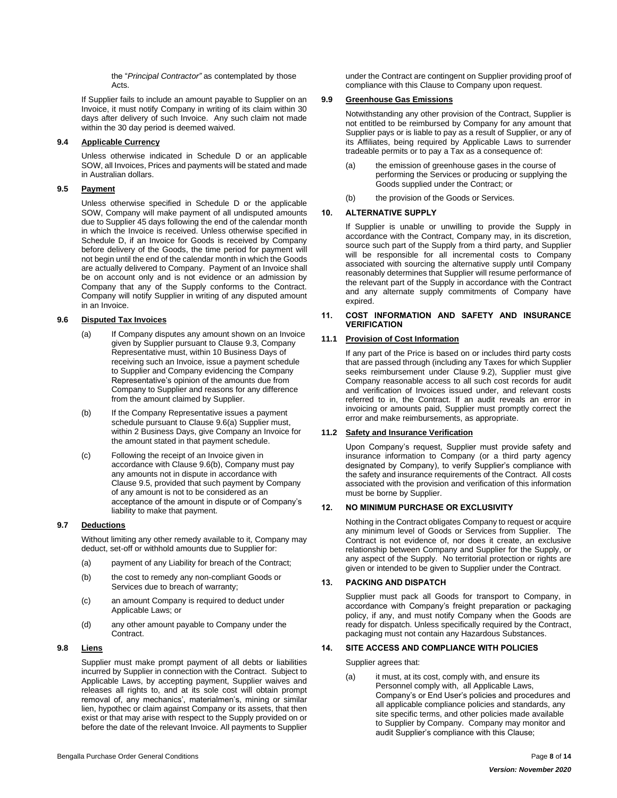the "*Principal Contractor"* as contemplated by those Acts.

If Supplier fails to include an amount payable to Supplier on an Invoice, it must notify Company in writing of its claim within 30 days after delivery of such Invoice. Any such claim not made within the 30 day period is deemed waived.

#### <span id="page-7-0"></span>**9.4 Applicable Currency**

Unless otherwise indicated in Schedule D or an applicable SOW, all Invoices, Prices and payments will be stated and made in Australian dollars.

# <span id="page-7-1"></span>**9.5 Payment**

Unless otherwise specified in Schedule D or the applicable SOW, Company will make payment of all undisputed amounts due to Supplier 45 days following the end of the calendar month in which the Invoice is received. Unless otherwise specified in Schedule D, if an Invoice for Goods is received by Company before delivery of the Goods, the time period for payment will not begin until the end of the calendar month in which the Goods are actually delivered to Company. Payment of an Invoice shall be on account only and is not evidence or an admission by Company that any of the Supply conforms to the Contract. Company will notify Supplier in writing of any disputed amount in an Invoice.

#### <span id="page-7-13"></span><span id="page-7-2"></span>**9.6 Disputed Tax Invoices**

- (a) If Company disputes any amount shown on an Invoice given by Supplier pursuant to Clause [9.3,](#page-6-3) Company Representative must, within 10 Business Days of receiving such an Invoice, issue a payment schedule to Supplier and Company evidencing the Company Representative's opinion of the amounts due from Company to Supplier and reasons for any difference from the amount claimed by Supplier.
- <span id="page-7-14"></span>(b) If the Company Representative issues a payment schedule pursuant to Claus[e 9.6\(a\)](#page-7-13) Supplier must, within 2 Business Days, give Company an Invoice for the amount stated in that payment schedule.
- (c) Following the receipt of an Invoice given in accordance with Clause [9.6\(b\),](#page-7-14) Company must pay any amounts not in dispute in accordance with Clause [9.5,](#page-7-1) provided that such payment by Company of any amount is not to be considered as an acceptance of the amount in dispute or of Company's liability to make that payment.

# <span id="page-7-3"></span>**9.7 Deductions**

Without limiting any other remedy available to it, Company may deduct, set-off or withhold amounts due to Supplier for:

- (a) payment of any Liability for breach of the Contract;
- (b) the cost to remedy any non-compliant Goods or Services due to breach of warranty;
- (c) an amount Company is required to deduct under Applicable Laws; or
- (d) any other amount payable to Company under the Contract.

# <span id="page-7-4"></span>**9.8 Liens**

Supplier must make prompt payment of all debts or liabilities incurred by Supplier in connection with the Contract. Subject to Applicable Laws, by accepting payment, Supplier waives and releases all rights to, and at its sole cost will obtain prompt removal of, any mechanics', materialmen's, mining or similar lien, hypothec or claim against Company or its assets, that then exist or that may arise with respect to the Supply provided on or before the date of the relevant Invoice. All payments to Supplier

(b) the provision of the Goods or Services.

# <span id="page-7-6"></span>**10. ALTERNATIVE SUPPLY**

<span id="page-7-5"></span>**9.9 Greenhouse Gas Emissions**

If Supplier is unable or unwilling to provide the Supply in accordance with the Contract, Company may, in its discretion, source such part of the Supply from a third party, and Supplier will be responsible for all incremental costs to Company associated with sourcing the alternative supply until Company reasonably determines that Supplier will resume performance of the relevant part of the Supply in accordance with the Contract and any alternate supply commitments of Company have expired.

under the Contract are contingent on Supplier providing proof of compliance with this Clause to Company upon request.

Notwithstanding any other provision of the Contract, Supplier is not entitled to be reimbursed by Company for any amount that Supplier pays or is liable to pay as a result of Supplier, or any of its Affiliates, being required by Applicable Laws to surrender tradeable permits or to pay a Tax as a consequence of: (a) the emission of greenhouse gases in the course of

Goods supplied under the Contract; or

performing the Services or producing or supplying the

## <span id="page-7-7"></span>**11. COST INFORMATION AND SAFETY AND INSURANCE VERIFICATION**

# <span id="page-7-8"></span>**11.1 Provision of Cost Information**

If any part of the Price is based on or includes third party costs that are passed through (including any Taxes for which Supplier seeks reimbursement under Clause [9.2\)](#page-6-2), Supplier must give Company reasonable access to all such cost records for audit and verification of Invoices issued under, and relevant costs referred to in, the Contract. If an audit reveals an error in invoicing or amounts paid, Supplier must promptly correct the error and make reimbursements, as appropriate.

# <span id="page-7-9"></span>**11.2 Safety and Insurance Verification**

Upon Company's request, Supplier must provide safety and insurance information to Company (or a third party agency designated by Company), to verify Supplier's compliance with the safety and insurance requirements of the Contract. All costs associated with the provision and verification of this information must be borne by Supplier.

# <span id="page-7-10"></span>**12. NO MINIMUM PURCHASE OR EXCLUSIVITY**

Nothing in the Contract obligates Company to request or acquire any minimum level of Goods or Services from Supplier. The Contract is not evidence of, nor does it create, an exclusive relationship between Company and Supplier for the Supply, or any aspect of the Supply. No territorial protection or rights are given or intended to be given to Supplier under the Contract.

# <span id="page-7-11"></span>**13. PACKING AND DISPATCH**

Supplier must pack all Goods for transport to Company, in accordance with Company's freight preparation or packaging policy, if any, and must notify Company when the Goods are ready for dispatch. Unless specifically required by the Contract, packaging must not contain any Hazardous Substances.

# <span id="page-7-12"></span>**14. SITE ACCESS AND COMPLIANCE WITH POLICIES**

Supplier agrees that:

(a) it must, at its cost, comply with, and ensure its Personnel comply with, all Applicable Laws, Company's or End User's policies and procedures and all applicable compliance policies and standards, any site specific terms, and other policies made available to Supplier by Company. Company may monitor and audit Supplier's compliance with this Clause;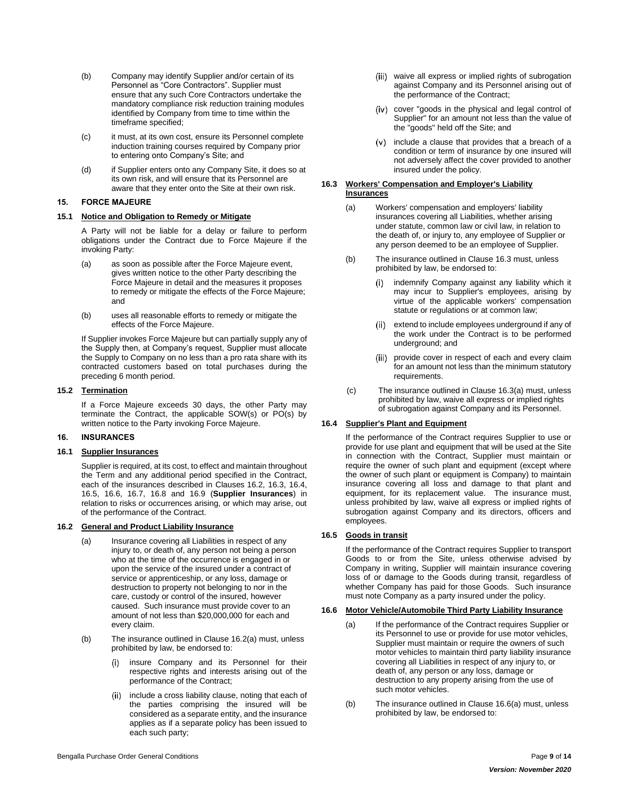- (b) Company may identify Supplier and/or certain of its Personnel as "Core Contractors". Supplier must ensure that any such Core Contractors undertake the mandatory compliance risk reduction training modules identified by Company from time to time within the timeframe specified;
- (c) it must, at its own cost, ensure its Personnel complete induction training courses required by Company prior to entering onto Company's Site; and
- (d) if Supplier enters onto any Company Site, it does so at its own risk, and will ensure that its Personnel are aware that they enter onto the Site at their own risk.

#### <span id="page-8-0"></span>**15. FORCE MAJEURE**

#### <span id="page-8-1"></span>**15.1 Notice and Obligation to Remedy or Mitigate**

A Party will not be liable for a delay or failure to perform obligations under the Contract due to Force Majeure if the invoking Party:

- (a) as soon as possible after the Force Majeure event, gives written notice to the other Party describing the Force Majeure in detail and the measures it proposes to remedy or mitigate the effects of the Force Majeure; and
- (b) uses all reasonable efforts to remedy or mitigate the effects of the Force Majeure.

If Supplier invokes Force Majeure but can partially supply any of the Supply then, at Company's request, Supplier must allocate the Supply to Company on no less than a pro rata share with its contracted customers based on total purchases during the preceding 6 month period.

#### <span id="page-8-2"></span>**15.2 Termination**

If a Force Majeure exceeds 30 days, the other Party may terminate the Contract, the applicable SOW(s) or PO(s) by written notice to the Party invoking Force Majeure.

# <span id="page-8-3"></span>**16. INSURANCES**

#### <span id="page-8-4"></span>**16.1 Supplier Insurances**

Supplier is required, at its cost, to effect and maintain throughout the Term and any additional period specified in the Contract, each of the insurances described in Clauses [16.2,](#page-8-5) [16.3,](#page-8-6) [16.4,](#page-8-7)  [16.5,](#page-8-8) [16.6,](#page-8-9) [16.7,](#page-9-0) [16.8](#page-9-1) and [16.9](#page-9-2) (**Supplier Insurances**) in relation to risks or occurrences arising, or which may arise, out of the performance of the Contract.

#### <span id="page-8-10"></span><span id="page-8-5"></span>**16.2 General and Product Liability Insurance**

- (a) Insurance covering all Liabilities in respect of any injury to, or death of, any person not being a person who at the time of the occurrence is engaged in or upon the service of the insured under a contract of service or apprenticeship, or any loss, damage or destruction to property not belonging to nor in the care, custody or control of the insured, however caused. Such insurance must provide cover to an amount of not less than \$20,000,000 for each and every claim.
- (b) The insurance outlined in Clause [16.2\(a\)](#page-8-10) must, unless prohibited by law, be endorsed to:
	- insure Company and its Personnel for their  $(i)$ respective rights and interests arising out of the performance of the Contract;
	- (ii) include a cross liability clause, noting that each of the parties comprising the insured will be considered as a separate entity, and the insurance applies as if a separate policy has been issued to each such party;
- (iii) waive all express or implied rights of subrogation against Company and its Personnel arising out of the performance of the Contract;
- (iv) cover "goods in the physical and legal control of Supplier" for an amount not less than the value of the "goods" held off the Site; and
- $(v)$  include a clause that provides that a breach of a condition or term of insurance by one insured will not adversely affect the cover provided to another insured under the policy.

## <span id="page-8-11"></span><span id="page-8-6"></span>**16.3 Workers' Compensation and Employer's Liability Insurances**

- (a) Workers' compensation and employers' liability insurances covering all Liabilities, whether arising under statute, common law or civil law, in relation to the death of, or injury to, any employee of Supplier or any person deemed to be an employee of Supplier.
- (b) The insurance outlined in Claus[e 16.3](#page-8-6) must, unless prohibited by law, be endorsed to:
	- indemnify Company against any liability which it may incur to Supplier's employees, arising by virtue of the applicable workers' compensation statute or regulations or at common law;
	- extend to include employees underground if any of the work under the Contract is to be performed underground; and
	- $(iii)$ provide cover in respect of each and every claim for an amount not less than the minimum statutory requirements.
- (c) The insurance outlined in Claus[e 16.3\(a\)](#page-8-11) must, unless prohibited by law, waive all express or implied rights of subrogation against Company and its Personnel.

# <span id="page-8-7"></span>**16.4 Supplier's Plant and Equipment**

If the performance of the Contract requires Supplier to use or provide for use plant and equipment that will be used at the Site in connection with the Contract, Supplier must maintain or require the owner of such plant and equipment (except where the owner of such plant or equipment is Company) to maintain insurance covering all loss and damage to that plant and equipment, for its replacement value. The insurance must, unless prohibited by law, waive all express or implied rights of subrogation against Company and its directors, officers and employees.

# <span id="page-8-8"></span>**16.5 Goods in transit**

If the performance of the Contract requires Supplier to transport Goods to or from the Site, unless otherwise advised by Company in writing, Supplier will maintain insurance covering loss of or damage to the Goods during transit, regardless of whether Company has paid for those Goods. Such insurance must note Company as a party insured under the policy.

# <span id="page-8-12"></span><span id="page-8-9"></span>**16.6 Motor Vehicle/Automobile Third Party Liability Insurance**

- (a) If the performance of the Contract requires Supplier or its Personnel to use or provide for use motor vehicles, Supplier must maintain or require the owners of such motor vehicles to maintain third party liability insurance covering all Liabilities in respect of any injury to, or death of, any person or any loss, damage or destruction to any property arising from the use of such motor vehicles.
- (b) The insurance outlined in Clause [16.6\(a\)](#page-8-12) must, unless prohibited by law, be endorsed to: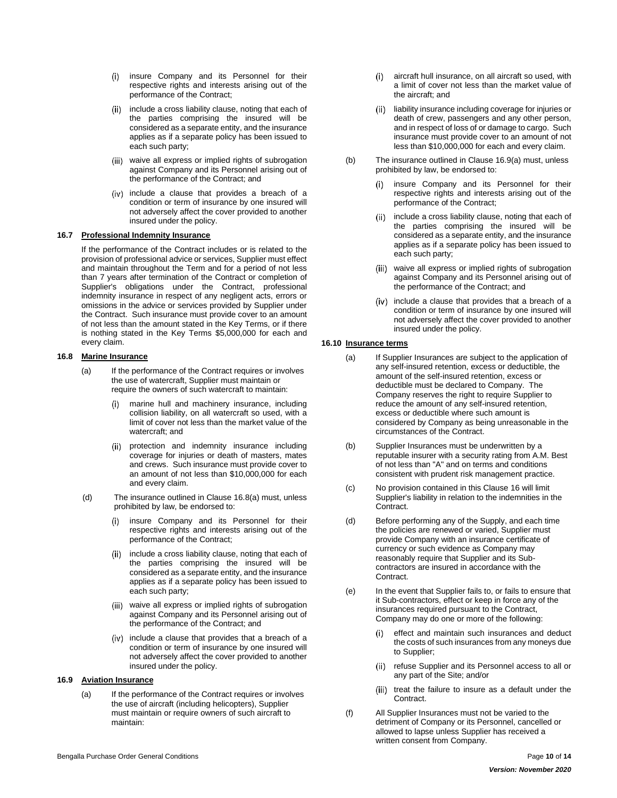- (i) insure Company and its Personnel for their respective rights and interests arising out of the performance of the Contract;
- (ii) include a cross liability clause, noting that each of the parties comprising the insured will be considered as a separate entity, and the insurance applies as if a separate policy has been issued to each such party;
- (iii) waive all express or implied rights of subrogation against Company and its Personnel arising out of the performance of the Contract; and
- (iv) include a clause that provides a breach of a condition or term of insurance by one insured will not adversely affect the cover provided to another insured under the policy.

#### <span id="page-9-0"></span>**16.7 Professional Indemnity Insurance**

If the performance of the Contract includes or is related to the provision of professional advice or services, Supplier must effect and maintain throughout the Term and for a period of not less than 7 years after termination of the Contract or completion of Supplier's obligations under the Contract, professional indemnity insurance in respect of any negligent acts, errors or omissions in the advice or services provided by Supplier under the Contract. Such insurance must provide cover to an amount of not less than the amount stated in the Key Terms, or if there is nothing stated in the Key Terms \$5,000,000 for each and every claim.

# <span id="page-9-4"></span><span id="page-9-1"></span>**16.8 Marine Insurance**

- (a) If the performance of the Contract requires or involves the use of watercraft, Supplier must maintain or require the owners of such watercraft to maintain:
	- marine hull and machinery insurance, including collision liability, on all watercraft so used, with a limit of cover not less than the market value of the watercraft; and
	- (ii) protection and indemnity insurance including coverage for injuries or death of masters, mates and crews. Such insurance must provide cover to an amount of not less than \$10,000,000 for each and every claim.
- (d) The insurance outlined in Clause [16.8\(a\)](#page-9-4) must, unless prohibited by law, be endorsed to:
	- insure Company and its Personnel for their respective rights and interests arising out of the performance of the Contract;
	- (ii) include a cross liability clause, noting that each of the parties comprising the insured will be considered as a separate entity, and the insurance applies as if a separate policy has been issued to each such party;
	- (iii) waive all express or implied rights of subrogation against Company and its Personnel arising out of the performance of the Contract; and
	- (iv) include a clause that provides that a breach of a condition or term of insurance by one insured will not adversely affect the cover provided to another insured under the policy.

# <span id="page-9-5"></span><span id="page-9-2"></span>**16.9 Aviation Insurance**

(a) If the performance of the Contract requires or involves the use of aircraft (including helicopters), Supplier must maintain or require owners of such aircraft to maintain:

- aircraft hull insurance, on all aircraft so used, with  $(i)$ a limit of cover not less than the market value of the aircraft; and
- $(ii)$ liability insurance including coverage for injuries or death of crew, passengers and any other person, and in respect of loss of or damage to cargo. Such insurance must provide cover to an amount of not less than \$10,000,000 for each and every claim.
- (b) The insurance outlined in Claus[e 16.9\(a\)](#page-9-5) must, unless prohibited by law, be endorsed to:
	- insure Company and its Personnel for their  $(i)$ respective rights and interests arising out of the performance of the Contract;
	- (ii) include a cross liability clause, noting that each of the parties comprising the insured will be considered as a separate entity, and the insurance applies as if a separate policy has been issued to each such party;
	- (iii) waive all express or implied rights of subrogation against Company and its Personnel arising out of the performance of the Contract; and
	- (iv) include a clause that provides that a breach of a condition or term of insurance by one insured will not adversely affect the cover provided to another insured under the policy.

#### <span id="page-9-3"></span>**16.10 Insurance terms**

- (a) If Supplier Insurances are subject to the application of any self-insured retention, excess or deductible, the amount of the self-insured retention, excess or deductible must be declared to Company. The Company reserves the right to require Supplier to reduce the amount of any self-insured retention, excess or deductible where such amount is considered by Company as being unreasonable in the circumstances of the Contract.
- (b) Supplier Insurances must be underwritten by a reputable insurer with a security rating from A.M. Best of not less than "A" and on terms and conditions consistent with prudent risk management practice.
- (c) No provision contained in this Clause [16](#page-8-3) will limit Supplier's liability in relation to the indemnities in the Contract.
- (d) Before performing any of the Supply, and each time the policies are renewed or varied, Supplier must provide Company with an insurance certificate of currency or such evidence as Company may reasonably require that Supplier and its Subcontractors are insured in accordance with the Contract.
- (e) In the event that Supplier fails to, or fails to ensure that it Sub-contractors, effect or keep in force any of the insurances required pursuant to the Contract, Company may do one or more of the following:
	- effect and maintain such insurances and deduct the costs of such insurances from any moneys due to Supplier;
	- refuse Supplier and its Personnel access to all or  $(ii)$ any part of the Site; and/or
	- (iii) treat the failure to insure as a default under the Contract.
- (f) All Supplier Insurances must not be varied to the detriment of Company or its Personnel, cancelled or allowed to lapse unless Supplier has received a written consent from Company.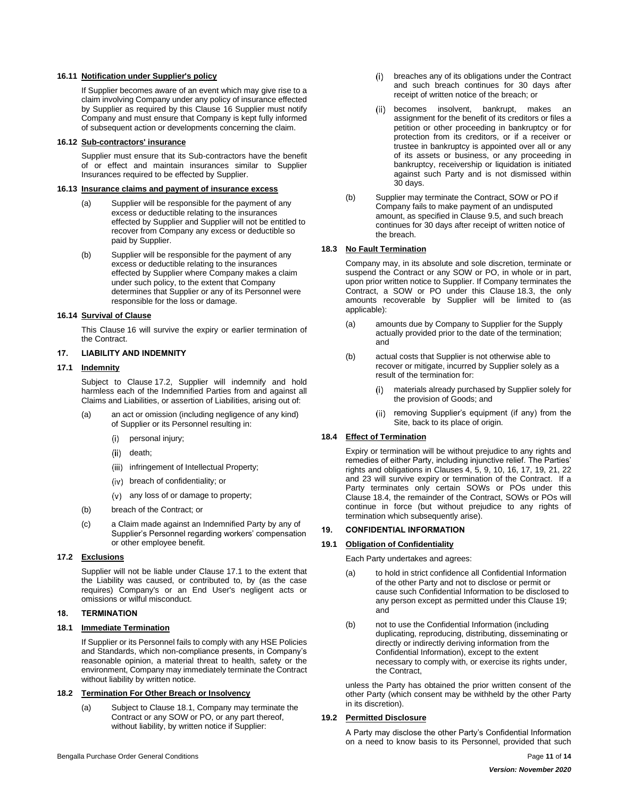## <span id="page-10-0"></span>**16.11 Notification under Supplier's policy**

If Supplier becomes aware of an event which may give rise to a claim involving Company under any policy of insurance effected by Supplier as required by this Clause [16](#page-8-3) Supplier must notify Company and must ensure that Company is kept fully informed of subsequent action or developments concerning the claim.

#### <span id="page-10-1"></span>**16.12 Sub-contractors' insurance**

Supplier must ensure that its Sub-contractors have the benefit of or effect and maintain insurances similar to Supplier Insurances required to be effected by Supplier.

## <span id="page-10-2"></span>**16.13 Insurance claims and payment of insurance excess**

- (a) Supplier will be responsible for the payment of any excess or deductible relating to the insurances effected by Supplier and Supplier will not be entitled to recover from Company any excess or deductible so paid by Supplier.
- (b) Supplier will be responsible for the payment of any excess or deductible relating to the insurances effected by Supplier where Company makes a claim under such policy, to the extent that Company determines that Supplier or any of its Personnel were responsible for the loss or damage.

#### <span id="page-10-3"></span>**16.14 Survival of Clause**

This Clause [16](#page-8-3) will survive the expiry or earlier termination of the Contract.

#### <span id="page-10-4"></span>**17. LIABILITY AND INDEMNITY**

#### <span id="page-10-5"></span>**17.1 Indemnity**

Subject to Clause [17.2,](#page-10-6) Supplier will indemnify and hold harmless each of the Indemnified Parties from and against all Claims and Liabilities, or assertion of Liabilities, arising out of:

- (a) an act or omission (including negligence of any kind) of Supplier or its Personnel resulting in:
	- (i) personal injury;
	- (ii) death;
	- (iii) infringement of Intellectual Property;
	- (iv) breach of confidentiality; or
	- any loss of or damage to property;
- (b) breach of the Contract; or
- (c) a Claim made against an Indemnified Party by any of Supplier's Personnel regarding workers' compensation or other employee benefit.

#### <span id="page-10-6"></span>**17.2 Exclusions**

Supplier will not be liable under Clause [17.1](#page-10-5) to the extent that the Liability was caused, or contributed to, by (as the case requires) Company's or an End User's negligent acts or omissions or wilful misconduct.

## <span id="page-10-7"></span>**18. TERMINATION**

#### <span id="page-10-8"></span>**18.1 Immediate Termination**

If Supplier or its Personnel fails to comply with any HSE Policies and Standards, which non-compliance presents, in Company's reasonable opinion, a material threat to health, safety or the environment, Company may immediately terminate the Contract without liability by written notice.

## <span id="page-10-9"></span>**18.2 Termination For Other Breach or Insolvency**

(a) Subject to Clause [18.1,](#page-10-8) Company may terminate the Contract or any SOW or PO, or any part thereof, without liability, by written notice if Supplier:

- breaches any of its obligations under the Contract  $(i)$ and such breach continues for 30 days after receipt of written notice of the breach; or
- (ii) becomes insolvent, bankrupt, makes an assignment for the benefit of its creditors or files a petition or other proceeding in bankruptcy or for protection from its creditors, or if a receiver or trustee in bankruptcy is appointed over all or any of its assets or business, or any proceeding in bankruptcy, receivership or liquidation is initiated against such Party and is not dismissed within 30 days.
- (b) Supplier may terminate the Contract, SOW or PO if Company fails to make payment of an undisputed amount, as specified in Clause [9.5,](#page-7-1) and such breach continues for 30 days after receipt of written notice of the breach.

# <span id="page-10-10"></span>**18.3 No Fault Termination**

Company may, in its absolute and sole discretion, terminate or suspend the Contract or any SOW or PO, in whole or in part, upon prior written notice to Supplier. If Company terminates the Contract, a SOW or PO under this Clause [18.3,](#page-10-10) the only amounts recoverable by Supplier will be limited to (as applicable):

- (a) amounts due by Company to Supplier for the Supply actually provided prior to the date of the termination; and
- (b) actual costs that Supplier is not otherwise able to recover or mitigate, incurred by Supplier solely as a result of the termination for:
	- materials already purchased by Supplier solely for the provision of Goods; and
	- removing Supplier's equipment (if any) from the  $(ii)$ Site, back to its place of origin.

# <span id="page-10-11"></span>**18.4 Effect of Termination**

Expiry or termination will be without prejudice to any rights and remedies of either Party, including injunctive relief. The Parties' rights and obligations in Clauses [4,](#page-5-0) [5,](#page-5-3) [9,](#page-6-0) [10,](#page-7-6) [16,](#page-8-3) [17,](#page-10-4) [19,](#page-10-12) [21,](#page-11-3) [22](#page-11-7) and [23](#page-12-1) will survive expiry or termination of the Contract. If a Party terminates only certain SOWs or POs under this Clause [18.4,](#page-10-11) the remainder of the Contract, SOWs or POs will continue in force (but without prejudice to any rights of termination which subsequently arise).

#### <span id="page-10-12"></span>**19. CONFIDENTIAL INFORMATION**

## <span id="page-10-13"></span>**19.1 Obligation of Confidentiality**

Each Party undertakes and agrees:

- (a) to hold in strict confidence all Confidential Information of the other Party and not to disclose or permit or cause such Confidential Information to be disclosed to any person except as permitted under this Clause [19;](#page-10-12) and
- (b) not to use the Confidential Information (including duplicating, reproducing, distributing, disseminating or directly or indirectly deriving information from the Confidential Information), except to the extent necessary to comply with, or exercise its rights under, the Contract,

unless the Party has obtained the prior written consent of the other Party (which consent may be withheld by the other Party in its discretion).

#### <span id="page-10-14"></span>**19.2 Permitted Disclosure**

A Party may disclose the other Party's Confidential Information on a need to know basis to its Personnel, provided that such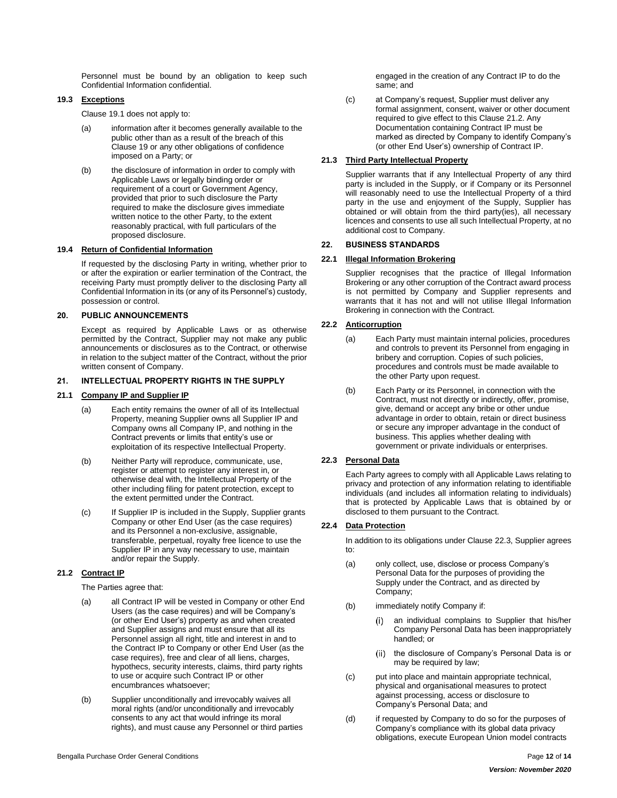Personnel must be bound by an obligation to keep such Confidential Information confidential.

#### <span id="page-11-0"></span>**19.3 Exceptions**

Clause [19.1](#page-10-13) does not apply to:

- (a) information after it becomes generally available to the public other than as a result of the breach of this Clause [19](#page-10-12) or any other obligations of confidence imposed on a Party; or
- (b) the disclosure of information in order to comply with Applicable Laws or legally binding order or requirement of a court or Government Agency, provided that prior to such disclosure the Party required to make the disclosure gives immediate written notice to the other Party, to the extent reasonably practical, with full particulars of the proposed disclosure.

# <span id="page-11-1"></span>**19.4 Return of Confidential Information**

If requested by the disclosing Party in writing, whether prior to or after the expiration or earlier termination of the Contract, the receiving Party must promptly deliver to the disclosing Party all Confidential Information in its (or any of its Personnel's) custody, possession or control.

## <span id="page-11-2"></span>**20. PUBLIC ANNOUNCEMENTS**

Except as required by Applicable Laws or as otherwise permitted by the Contract, Supplier may not make any public announcements or disclosures as to the Contract, or otherwise in relation to the subject matter of the Contract, without the prior written consent of Company.

#### <span id="page-11-3"></span>**21. INTELLECTUAL PROPERTY RIGHTS IN THE SUPPLY**

### <span id="page-11-4"></span>**21.1 Company IP and Supplier IP**

- (a) Each entity remains the owner of all of its Intellectual Property, meaning Supplier owns all Supplier IP and Company owns all Company IP, and nothing in the Contract prevents or limits that entity's use or exploitation of its respective Intellectual Property.
- (b) Neither Party will reproduce, communicate, use, register or attempt to register any interest in, or otherwise deal with, the Intellectual Property of the other including filing for patent protection, except to the extent permitted under the Contract.
- (c) If Supplier IP is included in the Supply, Supplier grants Company or other End User (as the case requires) and its Personnel a non-exclusive, assignable, transferable, perpetual, royalty free licence to use the Supplier IP in any way necessary to use, maintain and/or repair the Supply.

# <span id="page-11-5"></span>**21.2 Contract IP**

The Parties agree that:

- (a) all Contract IP will be vested in Company or other End Users (as the case requires) and will be Company's (or other End User's) property as and when created and Supplier assigns and must ensure that all its Personnel assign all right, title and interest in and to the Contract IP to Company or other End User (as the case requires), free and clear of all liens, charges, hypothecs, security interests, claims, third party rights to use or acquire such Contract IP or other encumbrances whatsoever;
- (b) Supplier unconditionally and irrevocably waives all moral rights (and/or unconditionally and irrevocably consents to any act that would infringe its moral rights), and must cause any Personnel or third parties

engaged in the creation of any Contract IP to do the same; and

(c) at Company's request, Supplier must deliver any formal assignment, consent, waiver or other document required to give effect to this Clause [21.2.](#page-11-5) Any Documentation containing Contract IP must be marked as directed by Company to identify Company's (or other End User's) ownership of Contract IP.

## <span id="page-11-6"></span>**21.3 Third Party Intellectual Property**

Supplier warrants that if any Intellectual Property of any third party is included in the Supply, or if Company or its Personnel will reasonably need to use the Intellectual Property of a third party in the use and enjoyment of the Supply, Supplier has obtained or will obtain from the third party(ies), all necessary licences and consents to use all such Intellectual Property, at no additional cost to Company.

## <span id="page-11-7"></span>**22. BUSINESS STANDARDS**

#### <span id="page-11-8"></span>**22.1 Illegal Information Brokering**

Supplier recognises that the practice of Illegal Information Brokering or any other corruption of the Contract award process is not permitted by Company and Supplier represents and warrants that it has not and will not utilise Illegal Information Brokering in connection with the Contract.

# <span id="page-11-9"></span>**22.2 Anticorruption**

- (a) Each Party must maintain internal policies, procedures and controls to prevent its Personnel from engaging in bribery and corruption. Copies of such policies, procedures and controls must be made available to the other Party upon request.
- (b) Each Party or its Personnel, in connection with the Contract, must not directly or indirectly, offer, promise, give, demand or accept any bribe or other undue advantage in order to obtain, retain or direct business or secure any improper advantage in the conduct of business. This applies whether dealing with government or private individuals or enterprises.

# <span id="page-11-10"></span>**22.3 Personal Data**

Each Party agrees to comply with all Applicable Laws relating to privacy and protection of any information relating to identifiable individuals (and includes all information relating to individuals) that is protected by Applicable Laws that is obtained by or disclosed to them pursuant to the Contract.

# <span id="page-11-11"></span>**22.4 Data Protection**

In addition to its obligations under Clause [22.3,](#page-11-10) Supplier agrees to:

- (a) only collect, use, disclose or process Company's Personal Data for the purposes of providing the Supply under the Contract, and as directed by Company;
- (b) immediately notify Company if:
	- an individual complains to Supplier that his/her Company Personal Data has been inappropriately handled; or
	- the disclosure of Company's Personal Data is or  $(ii)$ may be required by law;
- (c) put into place and maintain appropriate technical, physical and organisational measures to protect against processing, access or disclosure to Company's Personal Data; and
- (d) if requested by Company to do so for the purposes of Company's compliance with its global data privacy obligations, execute European Union model contracts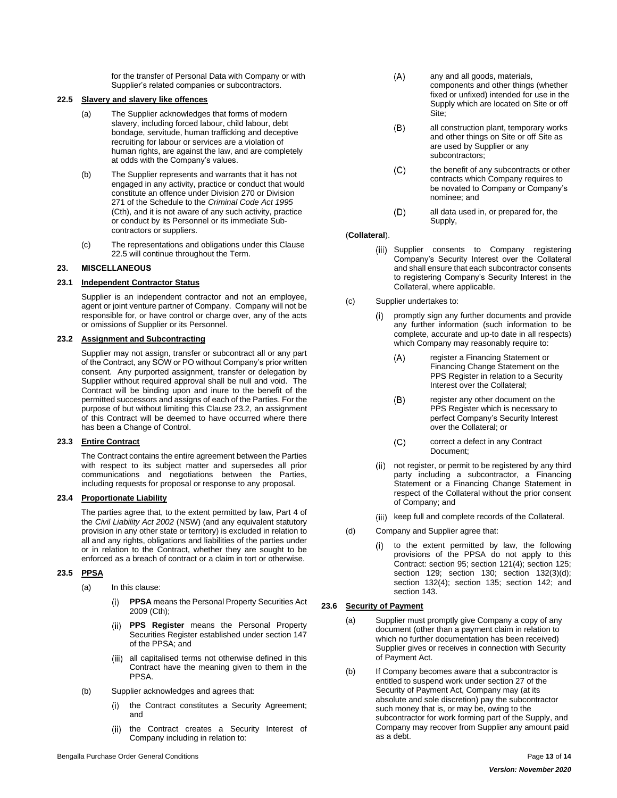for the transfer of Personal Data with Company or with Supplier's related companies or subcontractors.

# <span id="page-12-0"></span>**22.5 Slavery and slavery like offences**

- (a) The Supplier acknowledges that forms of modern slavery, including forced labour, child labour, debt bondage, servitude, human trafficking and deceptive recruiting for labour or services are a violation of human rights, are against the law, and are completely at odds with the Company's values.
- (b) The Supplier represents and warrants that it has not engaged in any activity, practice or conduct that would constitute an offence under Division 270 or Division 271 of the Schedule to the *Criminal Code Act 1995* (Cth), and it is not aware of any such activity, practice or conduct by its Personnel or its immediate Subcontractors or suppliers.
- (c) The representations and obligations under this Clause [22.5](#page-12-0) will continue throughout the Term.

#### <span id="page-12-1"></span>**23. MISCELLANEOUS**

#### <span id="page-12-2"></span>**23.1 Independent Contractor Status**

Supplier is an independent contractor and not an employee, agent or joint venture partner of Company. Company will not be responsible for, or have control or charge over, any of the acts or omissions of Supplier or its Personnel.

# <span id="page-12-3"></span>**23.2 Assignment and Subcontracting**

Supplier may not assign, transfer or subcontract all or any part of the Contract, any SOW or PO without Company's prior written consent. Any purported assignment, transfer or delegation by Supplier without required approval shall be null and void. The Contract will be binding upon and inure to the benefit of the permitted successors and assigns of each of the Parties. For the purpose of but without limiting this Clause [23.2,](#page-12-3) an assignment of this Contract will be deemed to have occurred where there has been a Change of Control.

#### <span id="page-12-4"></span>**23.3 Entire Contract**

The Contract contains the entire agreement between the Parties with respect to its subject matter and supersedes all prior communications and negotiations between the Parties, including requests for proposal or response to any proposal.

# <span id="page-12-5"></span>**23.4 Proportionate Liability**

The parties agree that, to the extent permitted by law, Part 4 of the *Civil Liability Act 2002* (NSW) (and any equivalent statutory provision in any other state or territory) is excluded in relation to all and any rights, obligations and liabilities of the parties under or in relation to the Contract, whether they are sought to be enforced as a breach of contract or a claim in tort or otherwise.

# <span id="page-12-6"></span>**23.5 PPSA**

- (a) In this clause:
	- $(i)$ **PPSA** means the Personal Property Securities Act 2009 (Cth);
	- **PPS Register** means the Personal Property Securities Register established under section 147 of the PPSA; and
	- (iii) all capitalised terms not otherwise defined in this Contract have the meaning given to them in the PPSA.
- (b) Supplier acknowledges and agrees that:
	- the Contract constitutes a Security Agreement;  $(i)$ and
	- $(ii)$ the Contract creates a Security Interest of Company including in relation to:
- $(A)$ any and all goods, materials, components and other things (whether fixed or unfixed) intended for use in the Supply which are located on Site or off Site;
- all construction plant, temporary works  $(B)$ and other things on Site or off Site as are used by Supplier or any subcontractors;
- $(C)$ the benefit of any subcontracts or other contracts which Company requires to be novated to Company or Company's nominee; and
- $(D)$ all data used in, or prepared for, the Supply,

#### (**Collateral**).

- (iii) Supplier consents to Company registering Company's Security Interest over the Collateral and shall ensure that each subcontractor consents to registering Company's Security Interest in the Collateral, where applicable.
- (c) Supplier undertakes to:
	- promptly sign any further documents and provide  $(i)$ any further information (such information to be complete, accurate and up-to date in all respects) which Company may reasonably require to:
		- register a Financing Statement or  $(A)$ Financing Change Statement on the PPS Register in relation to a Security Interest over the Collateral;
		- $(B)$ register any other document on the PPS Register which is necessary to perfect Company's Security Interest over the Collateral; or
		- $(C)$ correct a defect in any Contract Document;
	- not register, or permit to be registered by any third  $(ii)$ party including a subcontractor, a Financing Statement or a Financing Change Statement in respect of the Collateral without the prior consent of Company; and
	- (iii) keep full and complete records of the Collateral.
- (d) Company and Supplier agree that:
	- to the extent permitted by law, the following  $(i)$ provisions of the PPSA do not apply to this Contract: section 95; section 121(4); section 125; section 129; section 130; section 132(3)(d); section 132(4); section 135; section 142; and section 143.

#### <span id="page-12-7"></span>**23.6 Security of Payment**

- (a) Supplier must promptly give Company a copy of any document (other than a payment claim in relation to which no further documentation has been received) Supplier gives or receives in connection with Security of Payment Act.
- (b) If Company becomes aware that a subcontractor is entitled to suspend work under section 27 of the Security of Payment Act, Company may (at its absolute and sole discretion) pay the subcontractor such money that is, or may be, owing to the subcontractor for work forming part of the Supply, and Company may recover from Supplier any amount paid as a debt.